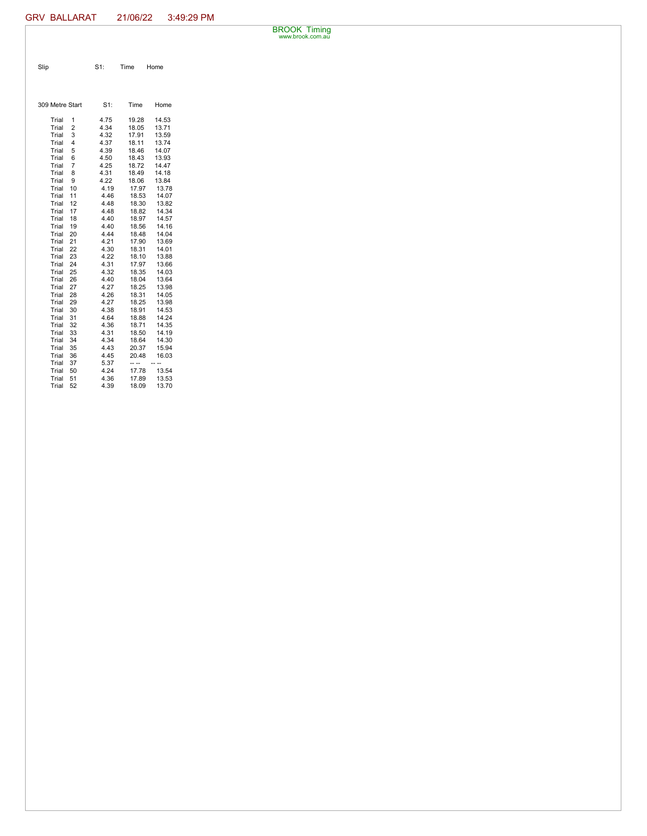BROOK Timing www.brook.com.au

| Slip | $S1$ : | Time Home |
|------|--------|-----------|

| 309 Metre Start |                | $S1$ : | Time  | Home  |
|-----------------|----------------|--------|-------|-------|
| Trial           | 1              | 4.75   | 19.28 | 14.53 |
| Trial           | $\overline{2}$ | 4.34   | 18.05 | 13.71 |
| Trial           | 3              | 4.32   | 17.91 | 13.59 |
| Trial           | 4              | 4.37   | 18.11 | 13.74 |
| Trial           | 5              | 4.39   | 18.46 | 14.07 |
| Trial           | 6              | 4.50   | 18.43 | 13.93 |
| Trial           | 7              | 4.25   | 18.72 | 14.47 |
| Trial           | 8              | 4.31   | 18.49 | 14.18 |
| Trial           | 9              | 4.22   | 18.06 | 13.84 |
| Trial           | 10             | 4.19   | 17.97 | 13.78 |
| Trial           | 11             | 4.46   | 18.53 | 14.07 |
| Trial           | 12             | 4.48   | 18.30 | 13.82 |
| Trial           | 17             | 4.48   | 18.82 | 14.34 |
| Trial           | 18             | 4.40   | 18.97 | 14.57 |
| Trial           | 19             | 4.40   | 18.56 | 14.16 |
| Trial           | 20             | 4.44   | 18.48 | 14.04 |
| Trial           | 21             | 4.21   | 17.90 | 13.69 |
| Trial           | 22             | 4.30   | 18.31 | 14.01 |
| Trial           | 23             | 4.22   | 18.10 | 13.88 |
| Trial           | 24             | 4.31   | 17.97 | 13.66 |
| Trial           | 25             | 4.32   | 18.35 | 14.03 |
| Trial           | 26             | 4.40   | 18.04 | 13.64 |
| Trial           | 27             | 4.27   | 18.25 | 13.98 |
| Trial           | 28             | 4.26   | 18.31 | 14.05 |
| Trial           | 29             | 4.27   | 18.25 | 13.98 |
| Trial           | 30             | 4.38   | 18.91 | 14.53 |
| Trial           | 31             | 4.64   | 18.88 | 14.24 |
| Trial           | 32             | 4.36   | 18.71 | 14.35 |
| Trial           | 33             | 4.31   | 18.50 | 14.19 |
| Trial           | 34             | 4.34   | 18.64 | 14.30 |
| Trial           | 35             | 4.43   | 20.37 | 15.94 |
| Trial           | 36             | 4.45   | 20.48 | 16.03 |
| Trial           | 37             | 5.37   |       |       |
| Trial           | 50             | 4.24   | 17.78 | 13.54 |
| Trial           | 51             | 4.36   | 17.89 | 13.53 |
| Trial           | 52             | 4.39   | 18.09 | 13.70 |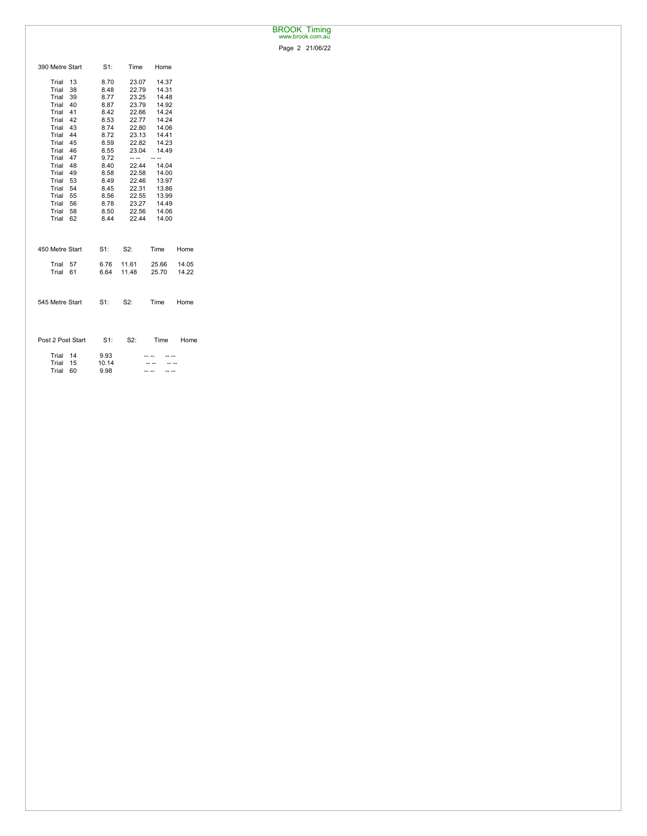## BROOK Timing www.brook.com.au

Page 2 21/06/22

| 390 Metre Start   | $S1$ : | Time  | Home  |       |
|-------------------|--------|-------|-------|-------|
| Trial<br>13       | 8.70   | 23.07 | 14.37 |       |
| Trial<br>38       | 8.48   | 22.79 | 14.31 |       |
| 39<br>Trial       | 8.77   | 23.25 | 14.48 |       |
| Trial 40          | 8.87   | 23.79 | 14.92 |       |
| Trial 41          | 8.42   | 22.66 | 14.24 |       |
| Trial 42          | 8.53   | 22.77 | 14.24 |       |
| Trial 43          | 8.74   | 22.80 | 14.06 |       |
| Trial 44          | 8.72   | 23.13 | 14.41 |       |
| Trial 45          | 8.59   | 22.82 | 14.23 |       |
| 46<br>Trial       | 8.55   | 23.04 | 14.49 |       |
| Trial 47          | 9.72   | -- -- |       |       |
| Trial 48          | 8.40   | 22.44 | 14.04 |       |
| Trial 49          | 8.58   | 22.58 | 14.00 |       |
| Trial 53          | 8.49   | 22.46 | 13.97 |       |
| Trial 54          | 8.45   | 22.31 | 13.86 |       |
| Trial 55          | 8.56   | 22.55 | 13.99 |       |
| Trial 56          | 8.78   | 23.27 | 14.49 |       |
| Trial 58          | 8.50   | 22.56 | 14.06 |       |
| Trial<br>62       | 8.44   | 22.44 | 14.00 |       |
|                   |        |       |       |       |
| 450 Metre Start   | $S1$ : | S2:   | Time  | Home  |
| Trial 57          | 6.76   | 11.61 | 25.66 | 14.05 |
| Trial<br>61       | 6.64   | 11.48 | 25.70 | 14.22 |
|                   |        |       |       |       |
|                   |        |       |       |       |
| 545 Metre Start   | $S1$ : | S2:   | Time  | Home  |
|                   |        |       |       |       |
|                   |        |       |       |       |
| Post 2 Post Start | $S1$ : | S2:   | Time  | Home  |
|                   |        |       |       |       |
| Trial<br>14       | 9.93   |       |       |       |
| Trial<br>15       | 10.14  |       |       |       |
| Trial<br>60       | 9.98   |       |       |       |